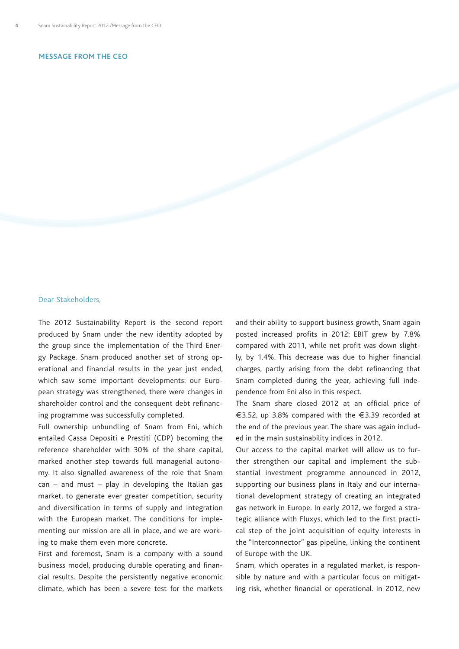## **Message from the CEO**

## Dear Stakeholders,

The 2012 Sustainability Report is the second report produced by Snam under the new identity adopted by the group since the implementation of the Third Energy Package. Snam produced another set of strong operational and financial results in the year just ended, which saw some important developments: our European strategy was strengthened, there were changes in shareholder control and the consequent debt refinancing programme was successfully completed.

Full ownership unbundling of Snam from Eni, which entailed Cassa Depositi e Prestiti (CDP) becoming the reference shareholder with 30% of the share capital, marked another step towards full managerial autonomy. It also signalled awareness of the role that Snam  $can - and must - play in developing the Italian gas$ market, to generate ever greater competition, security and diversification in terms of supply and integration with the European market. The conditions for implementing our mission are all in place, and we are working to make them even more concrete.

First and foremost, Snam is a company with a sound business model, producing durable operating and financial results. Despite the persistently negative economic climate, which has been a severe test for the markets and their ability to support business growth, Snam again posted increased profits in 2012: EBIT grew by 7.8% compared with 2011, while net profit was down slightly, by 1.4%. This decrease was due to higher financial charges, partly arising from the debt refinancing that Snam completed during the year, achieving full independence from Eni also in this respect.

The Snam share closed 2012 at an official price of €3.52, up 3.8% compared with the €3.39 recorded at the end of the previous year. The share was again included in the main sustainability indices in 2012.

Our access to the capital market will allow us to further strengthen our capital and implement the substantial investment programme announced in 2012, supporting our business plans in Italy and our international development strategy of creating an integrated gas network in Europe. In early 2012, we forged a strategic alliance with Fluxys, which led to the first practical step of the joint acquisition of equity interests in the "Interconnector" gas pipeline, linking the continent of Europe with the UK.

Snam, which operates in a regulated market, is responsible by nature and with a particular focus on mitigating risk, whether financial or operational. In 2012, new